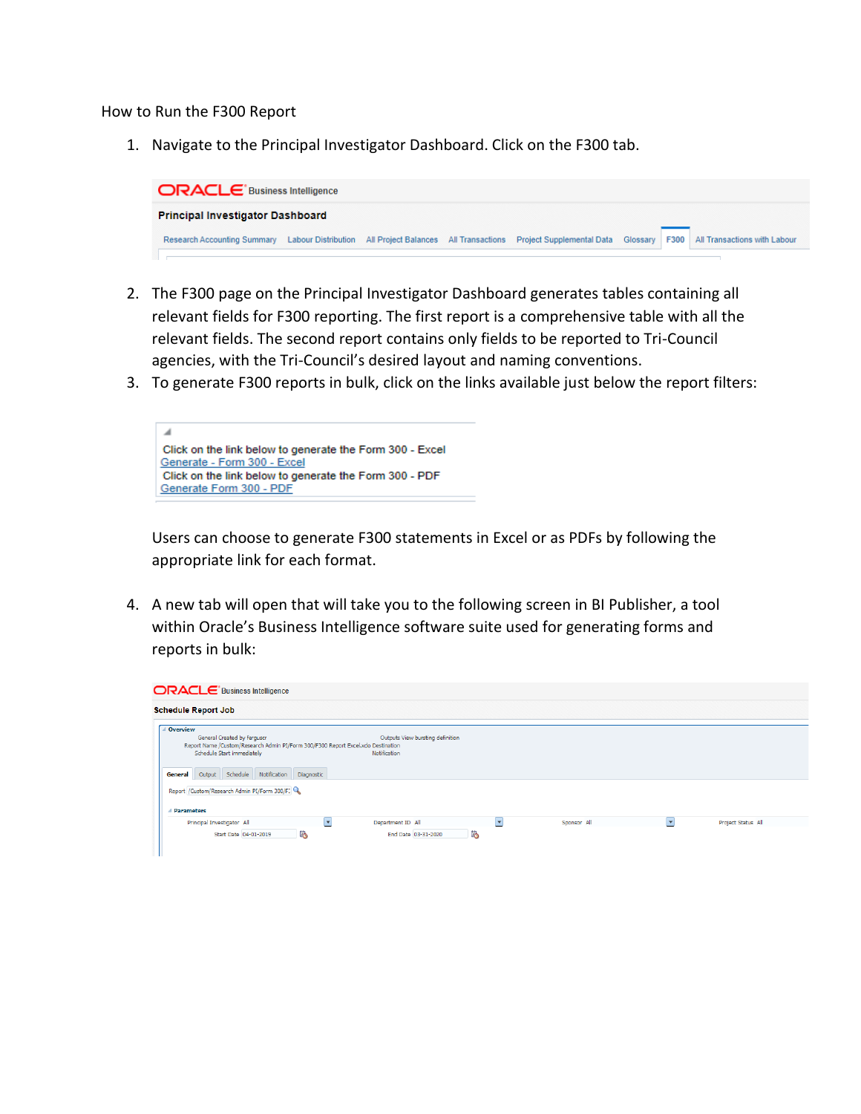How to Run the F300 Report

1. Navigate to the Principal Investigator Dashboard. Click on the F300 tab.



- 2. The F300 page on the Principal Investigator Dashboard generates tables containing all relevant fields for F300 reporting. The first report is a comprehensive table with all the relevant fields. The second report contains only fields to be reported to Tri-Council agencies, with the Tri-Council's desired layout and naming conventions.
- 3. To generate F300 reports in bulk, click on the links available just below the report filters:



Users can choose to generate F300 statements in Excel or as PDFs by following the appropriate link for each format.

4. A new tab will open that will take you to the following screen in BI Publisher, a tool within Oracle's Business Intelligence software suite used for generating forms and reports in bulk:

| <b>ORACLE</b> Business Intelligence                                                                                                                                                                                  |                                                  |                          |             |                          |                    |
|----------------------------------------------------------------------------------------------------------------------------------------------------------------------------------------------------------------------|--------------------------------------------------|--------------------------|-------------|--------------------------|--------------------|
| <b>Schedule Report Job</b>                                                                                                                                                                                           |                                                  |                          |             |                          |                    |
| △ Overview<br>General Created by ferguscr<br>Report Name /Custom/Research Admin PI/Form 300/F300 Report Excel.xdo Destination<br>Schedule Start immediately<br>Output Schedule<br>Notification Diagnostic<br>General | Outputs View bursting definition<br>Notification |                          |             |                          |                    |
| Report / Custom/Research Admin PI/Form 300/F:<br><b>Parameters</b>                                                                                                                                                   |                                                  |                          |             |                          |                    |
| Principal Investigator All<br>▾<br>ľò.<br>Start Date 04-01-2019                                                                                                                                                      | Department ID All<br>ľò.<br>End Date 03-31-2020  | $\overline{\phantom{a}}$ | Sponsor All | $\overline{\phantom{a}}$ | Project Status All |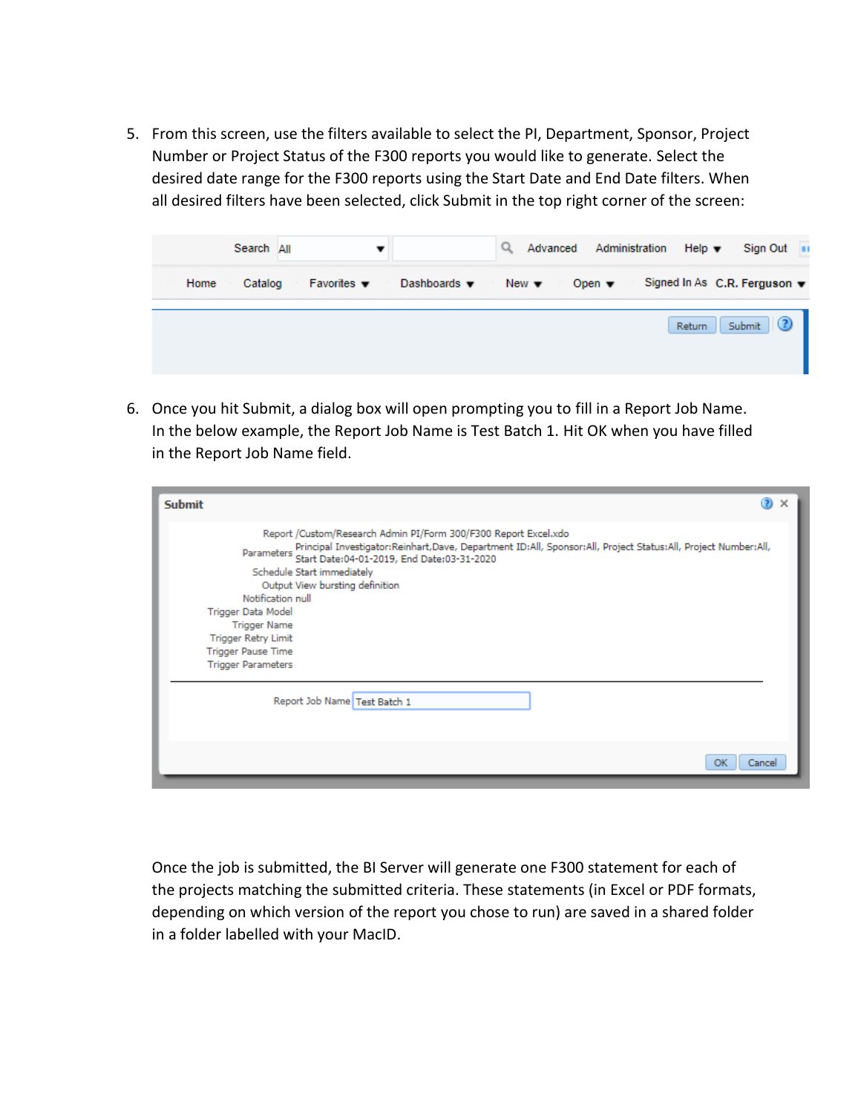5. From this screen, use the filters available to select the PI, Department, Sponsor, Project Number or Project Status of the F300 reports you would like to generate. Select the desired date range for the F300 reports using the Start Date and End Date filters. When all desired filters have been selected, click Submit in the top right corner of the screen:



6. Once you hit Submit, a dialog box will open prompting you to fill in a Report Job Name. In the below example, the Report Job Name is Test Batch 1. Hit OK when you have filled in the Report Job Name field.

| <b>Submit</b>                                                                                                                                                                                                                                                                                                                                                                                                                                                                   | $\circled{2}$ | $\times$ |
|---------------------------------------------------------------------------------------------------------------------------------------------------------------------------------------------------------------------------------------------------------------------------------------------------------------------------------------------------------------------------------------------------------------------------------------------------------------------------------|---------------|----------|
| Report /Custom/Research Admin PI/Form 300/F300 Report Excel.xdo<br>Parameters Principal Investigator:Reinhart,Dave, Department ID:All, Sponsor:All, Project Status:All, Project Number:All,<br>Parameters Start Date:04-01-2019, End Date:03-31-2020<br>Schedule Start immediately<br>Output View bursting definition<br>Notification null<br>Trigger Data Model<br><b>Trigger Name</b><br><b>Trigger Retry Limit</b><br><b>Trigger Pause Time</b><br><b>Trigger Parameters</b> |               |          |
| Report Job Name Test Batch 1                                                                                                                                                                                                                                                                                                                                                                                                                                                    |               |          |
| ОК                                                                                                                                                                                                                                                                                                                                                                                                                                                                              | Cancel        |          |

Once the job is submitted, the BI Server will generate one F300 statement for each of the projects matching the submitted criteria. These statements (in Excel or PDF formats, depending on which version of the report you chose to run) are saved in a shared folder in a folder labelled with your MacID.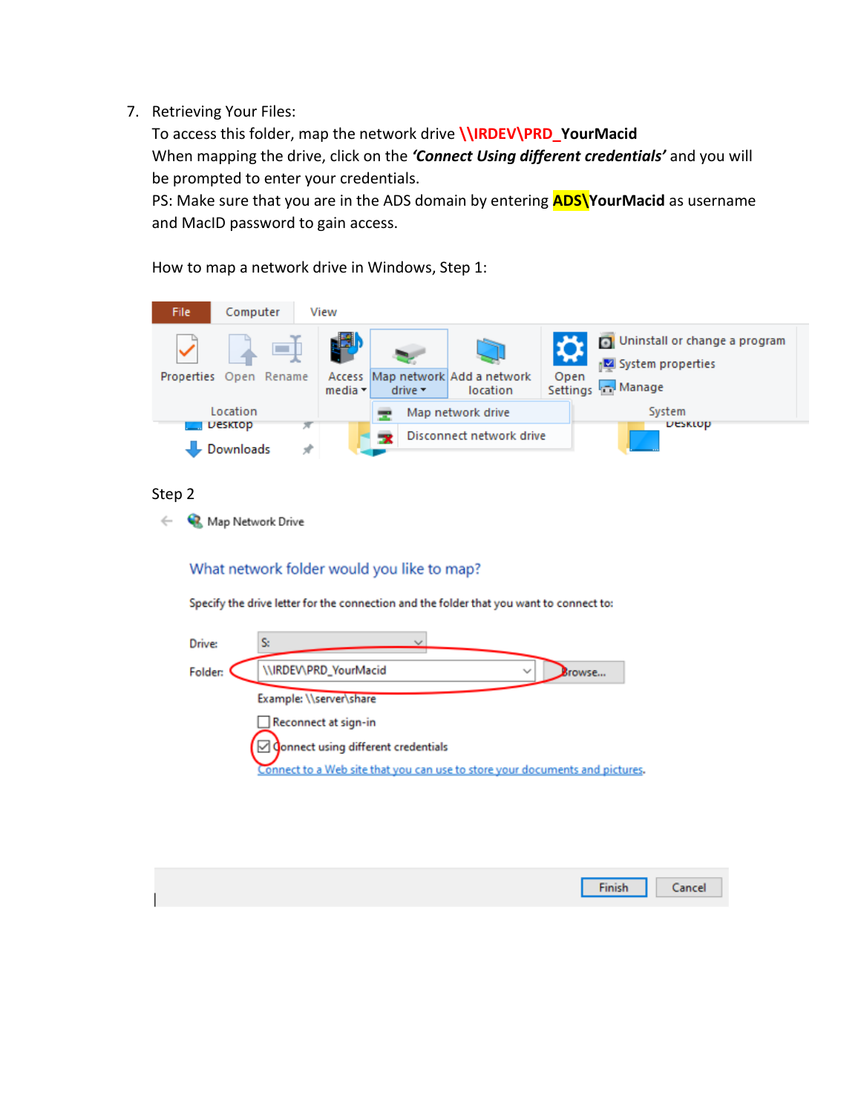## 7. Retrieving Your Files:

To access this folder, map the network drive **\\IRDEV\PRD\_YourMacid** When mapping the drive, click on the *'Connect Using different credentials'* and you will be prompted to enter your credentials.

PS: Make sure that you are in the ADS domain by entering **ADS\YourMacid** as username and MacID password to gain access.

How to map a network drive in Windows, Step 1:



## Step 2

 $\leftarrow$ Map Network Drive

## What network folder would you like to map?

Specify the drive letter for the connection and the folder that you want to connect to:



| Finish Cancel |  |
|---------------|--|
|               |  |